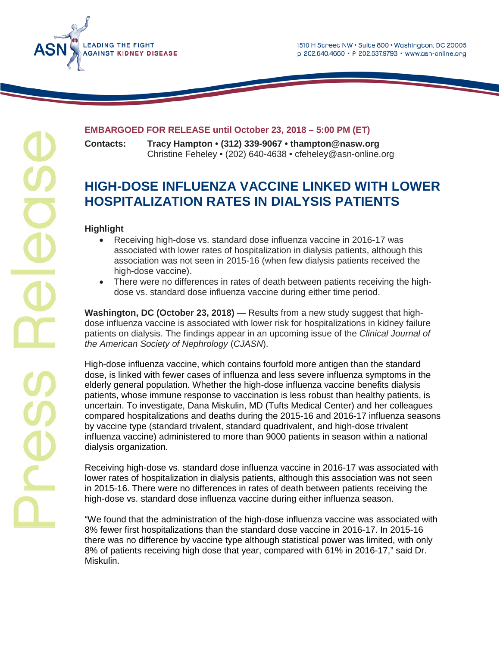

# **EADING THE FIGHT GAINST KIDNEY DISEASE**

## **EMBARGOED FOR RELEASE until October 23, 2018 – 5:00 PM (ET)**

**Contacts: Tracy Hampton • (312) 339-9067 • thampton@nasw.org** Christine Feheley • (202) 640-4638 • cfeheley@asn-online.org

## **HIGH-DOSE INFLUENZA VACCINE LINKED WITH LOWER HOSPITALIZATION RATES IN DIALYSIS PATIENTS**

### **Highlight**

- Receiving high-dose vs. standard dose influenza vaccine in 2016-17 was associated with lower rates of hospitalization in dialysis patients, although this association was not seen in 2015-16 (when few dialysis patients received the high-dose vaccine).
- There were no differences in rates of death between patients receiving the highdose vs. standard dose influenza vaccine during either time period.

**Washington, DC (October 23, 2018) —** Results from a new study suggest that highdose influenza vaccine is associated with lower risk for hospitalizations in kidney failure patients on dialysis. The findings appear in an upcoming issue of the *Clinical Journal of the American Society of Nephrology* (*CJASN*).

High-dose influenza vaccine, which contains fourfold more antigen than the standard dose, is linked with fewer cases of influenza and less severe influenza symptoms in the elderly general population. Whether the high-dose influenza vaccine benefits dialysis patients, whose immune response to vaccination is less robust than healthy patients, is uncertain. To investigate, Dana Miskulin, MD (Tufts Medical Center) and her colleagues compared hospitalizations and deaths during the 2015-16 and 2016-17 influenza seasons by vaccine type (standard trivalent, standard quadrivalent, and high-dose trivalent influenza vaccine) administered to more than 9000 patients in season within a national dialysis organization.

Receiving high-dose vs. standard dose influenza vaccine in 2016-17 was associated with lower rates of hospitalization in dialysis patients, although this association was not seen in 2015-16. There were no differences in rates of death between patients receiving the high-dose vs. standard dose influenza vaccine during either influenza season.

"We found that the administration of the high-dose influenza vaccine was associated with 8% fewer first hospitalizations than the standard dose vaccine in 2016-17. In 2015-16 there was no difference by vaccine type although statistical power was limited, with only 8% of patients receiving high dose that year, compared with 61% in 2016-17," said Dr. Miskulin.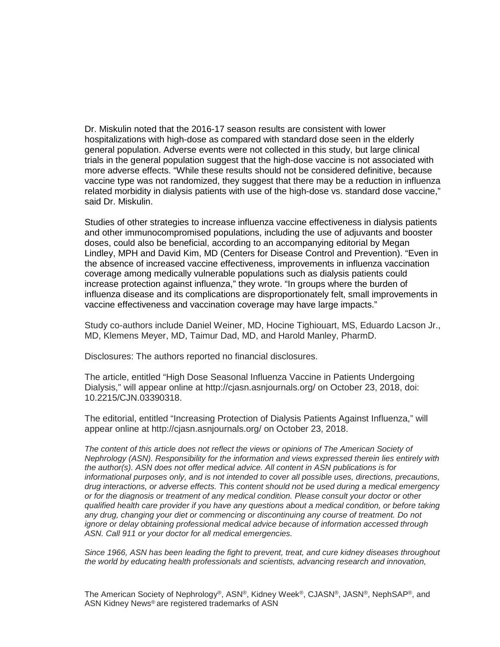Dr. Miskulin noted that the 2016-17 season results are consistent with lower hospitalizations with high-dose as compared with standard dose seen in the elderly general population. Adverse events were not collected in this study, but large clinical trials in the general population suggest that the high-dose vaccine is not associated with more adverse effects. "While these results should not be considered definitive, because vaccine type was not randomized, they suggest that there may be a reduction in influenza related morbidity in dialysis patients with use of the high-dose vs. standard dose vaccine," said Dr. Miskulin.

Studies of other strategies to increase influenza vaccine effectiveness in dialysis patients and other immunocompromised populations, including the use of adjuvants and booster doses, could also be beneficial, according to an accompanying editorial by Megan Lindley, MPH and David Kim, MD (Centers for Disease Control and Prevention). "Even in the absence of increased vaccine effectiveness, improvements in influenza vaccination coverage among medically vulnerable populations such as dialysis patients could increase protection against influenza," they wrote. "In groups where the burden of influenza disease and its complications are disproportionately felt, small improvements in vaccine effectiveness and vaccination coverage may have large impacts."

Study co-authors include Daniel Weiner, MD, Hocine Tighiouart, MS, Eduardo Lacson Jr., MD, Klemens Meyer, MD, Taimur Dad, MD, and Harold Manley, PharmD.

Disclosures: The authors reported no financial disclosures.

The article, entitled "High Dose Seasonal Influenza Vaccine in Patients Undergoing Dialysis," will appear online at http://cjasn.asnjournals.org/ on October 23, 2018, doi: 10.2215/CJN.03390318.

The editorial, entitled "Increasing Protection of Dialysis Patients Against Influenza," will appear online at http://cjasn.asnjournals.org/ on October 23, 2018.

*The content of this article does not reflect the views or opinions of The American Society of Nephrology (ASN). Responsibility for the information and views expressed therein lies entirely with the author(s). ASN does not offer medical advice. All content in ASN publications is for informational purposes only, and is not intended to cover all possible uses, directions, precautions, drug interactions, or adverse effects. This content should not be used during a medical emergency or for the diagnosis or treatment of any medical condition. Please consult your doctor or other qualified health care provider if you have any questions about a medical condition, or before taking any drug, changing your diet or commencing or discontinuing any course of treatment. Do not ignore or delay obtaining professional medical advice because of information accessed through ASN. Call 911 or your doctor for all medical emergencies.*

*Since 1966, ASN has been leading the fight to prevent, treat, and cure kidney diseases throughout the world by educating health professionals and scientists, advancing research and innovation,* 

The American Society of Nephrology®, ASN®, Kidney Week®, CJASN®, JASN®, NephSAP®, and ASN Kidney News® are registered trademarks of ASN